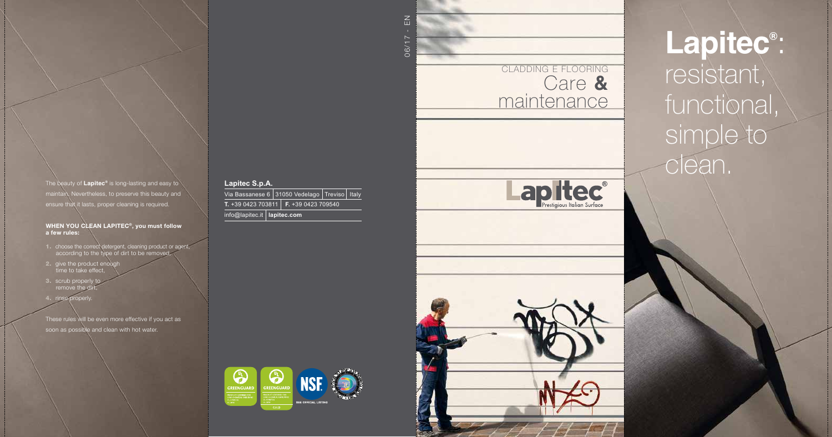### **Lapitec S.p.A.**

Via Bassanese 6 31050 Vedelago Treviso | Italy **T.** +39 0423 703811 **F.** +39 0423 709540 info@lapitec.it **lapitec.com**

- 1. choose the correct detergent, cleaning product or agent, according to the type of dirt to be removed,
- 2. give the product enough time to take effect,
- 3. scrub properly to remove the c
- 4. rinse properly.

The beauty of **Lapitec ®** is long-lasting and easy to maintain. Nevertheless, to preserve this beauty and ensure that it lasts, proper cleaning is required.

### WHEN YOU CLEAN LAPITEC ®, you must follow a few rules:

These rules will be even more effective if you act as soon as possible and clean with hot water.

06/17 - EN



**Lapitec ®** : resistant, functional simple to clean.